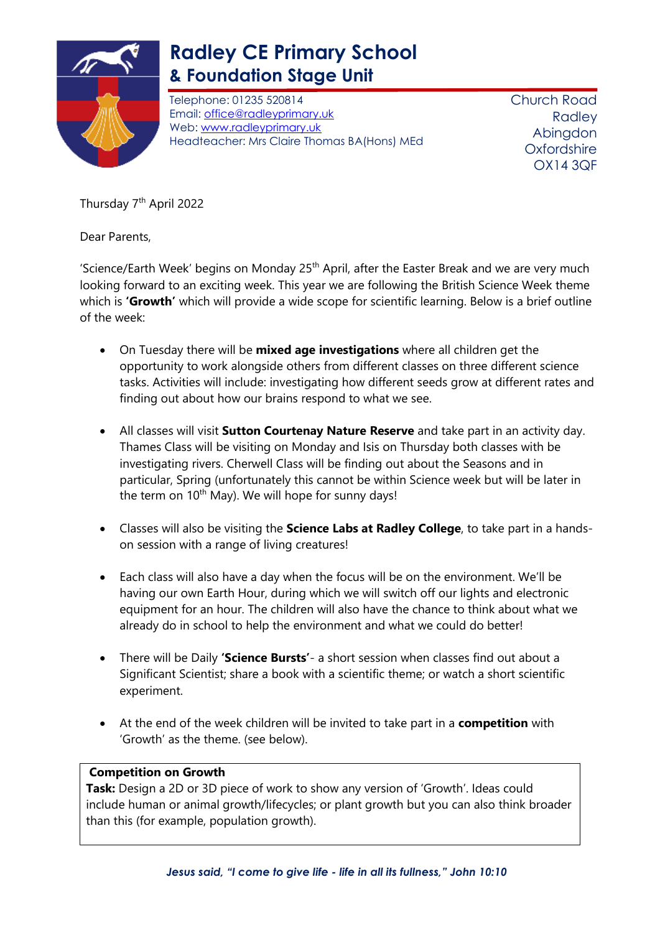

## **Radley CE Primary School & Foundation Stage Unit**

Telephone: 01235 520814 Email: [office@radleyprimary.uk](mailto:office@radleyprimary.uk) Web: [www.radleyprimary.uk](http://www.radleyprimary.uk/) Headteacher: Mrs Claire Thomas BA(Hons) MEd Church Road **Radley** Abingdon **Oxfordshire** OX14 3QF

Thursday 7<sup>th</sup> April 2022

Dear Parents,

'Science/Earth Week' begins on Monday  $25<sup>th</sup>$  April, after the Easter Break and we are very much looking forward to an exciting week. This year we are following the British Science Week theme which is **'Growth'** which will provide a wide scope for scientific learning. Below is a brief outline of the week:

- On Tuesday there will be **mixed age investigations** where all children get the opportunity to work alongside others from different classes on three different science tasks. Activities will include: investigating how different seeds grow at different rates and finding out about how our brains respond to what we see.
- All classes will visit **Sutton Courtenay Nature Reserve** and take part in an activity day. Thames Class will be visiting on Monday and Isis on Thursday both classes with be investigating rivers. Cherwell Class will be finding out about the Seasons and in particular, Spring (unfortunately this cannot be within Science week but will be later in the term on  $10<sup>th</sup>$  May). We will hope for sunny days!
- Classes will also be visiting the **Science Labs at Radley College**, to take part in a handson session with a range of living creatures!
- Each class will also have a day when the focus will be on the environment. We'll be having our own Earth Hour, during which we will switch off our lights and electronic equipment for an hour. The children will also have the chance to think about what we already do in school to help the environment and what we could do better!
- There will be Daily **'Science Bursts'** a short session when classes find out about a Significant Scientist; share a book with a scientific theme; or watch a short scientific experiment.
- At the end of the week children will be invited to take part in a **competition** with 'Growth' as the theme. (see below).

## **Competition on Growth**

**Task:** Design a 2D or 3D piece of work to show any version of 'Growth'. Ideas could include human or animal growth/lifecycles; or plant growth but you can also think broader than this (for example, population growth).